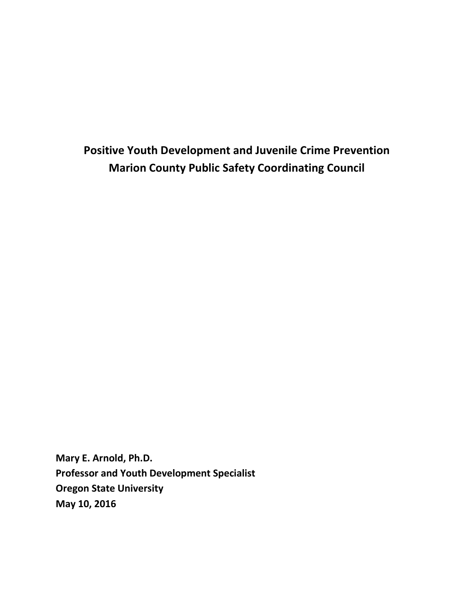**Positive Youth Development and Juvenile Crime Prevention Marion County Public Safety Coordinating Council**

**Mary E. Arnold, Ph.D. Professor and Youth Development Specialist Oregon State University May 10, 2016**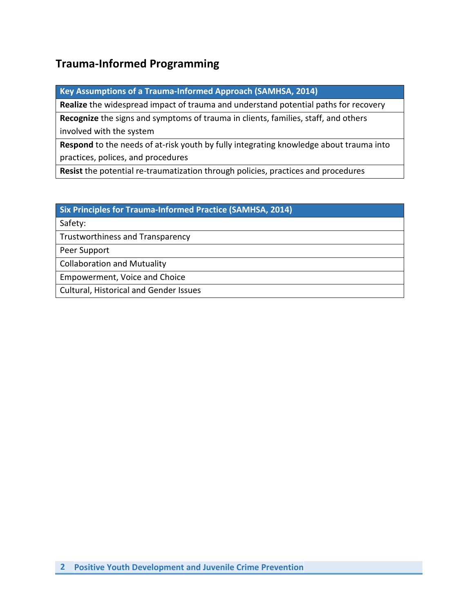## **Trauma-Informed Programming**

**Key Assumptions of a Trauma-Informed Approach (SAMHSA, 2014)**

**Realize** the widespread impact of trauma and understand potential paths for recovery

**Recognize** the signs and symptoms of trauma in clients, families, staff, and others involved with the system

**Respond** to the needs of at-risk youth by fully integrating knowledge about trauma into practices, polices, and procedures

**Resist** the potential re-traumatization through policies, practices and procedures

#### **Six Principles for Trauma-Informed Practice (SAMHSA, 2014)**

Safety:

Trustworthiness and Transparency

Peer Support

Collaboration and Mutuality

Empowerment, Voice and Choice

Cultural, Historical and Gender Issues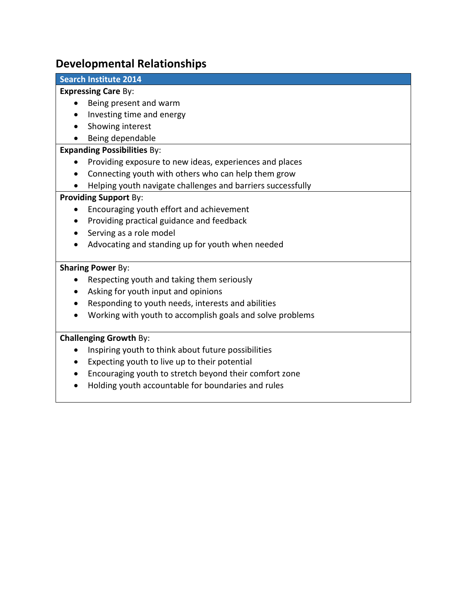### **Developmental Relationships**

#### **Search Institute 2014**

#### **Expressing Care** By:

- Being present and warm
- Investing time and energy
- Showing interest
- Being dependable

#### **Expanding Possibilities** By:

- Providing exposure to new ideas, experiences and places
- Connecting youth with others who can help them grow
- Helping youth navigate challenges and barriers successfully

#### **Providing Support** By:

- Encouraging youth effort and achievement
- Providing practical guidance and feedback
- Serving as a role model
- Advocating and standing up for youth when needed

#### **Sharing Power** By:

- Respecting youth and taking them seriously
- Asking for youth input and opinions
- Responding to youth needs, interests and abilities
- Working with youth to accomplish goals and solve problems

#### **Challenging Growth** By:

- Inspiring youth to think about future possibilities
- Expecting youth to live up to their potential
- Encouraging youth to stretch beyond their comfort zone
- Holding youth accountable for boundaries and rules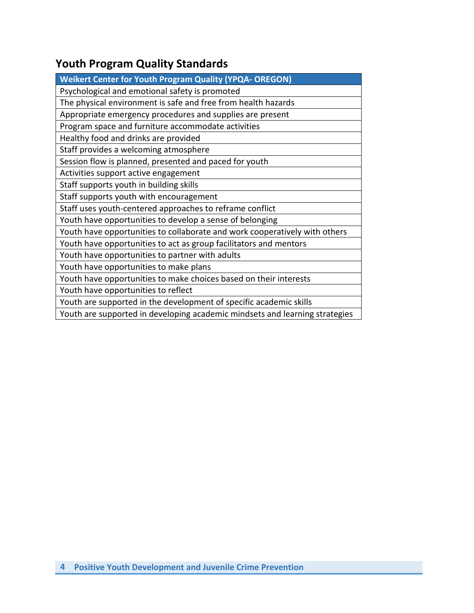# **Youth Program Quality Standards**

| <b>Weikert Center for Youth Program Quality (YPQA- OREGON)</b>              |
|-----------------------------------------------------------------------------|
| Psychological and emotional safety is promoted                              |
| The physical environment is safe and free from health hazards               |
| Appropriate emergency procedures and supplies are present                   |
| Program space and furniture accommodate activities                          |
| Healthy food and drinks are provided                                        |
| Staff provides a welcoming atmosphere                                       |
| Session flow is planned, presented and paced for youth                      |
| Activities support active engagement                                        |
| Staff supports youth in building skills                                     |
| Staff supports youth with encouragement                                     |
| Staff uses youth-centered approaches to reframe conflict                    |
| Youth have opportunities to develop a sense of belonging                    |
| Youth have opportunities to collaborate and work cooperatively with others  |
| Youth have opportunities to act as group facilitators and mentors           |
| Youth have opportunities to partner with adults                             |
| Youth have opportunities to make plans                                      |
| Youth have opportunities to make choices based on their interests           |
| Youth have opportunities to reflect                                         |
| Youth are supported in the development of specific academic skills          |
| Youth are supported in developing academic mindsets and learning strategies |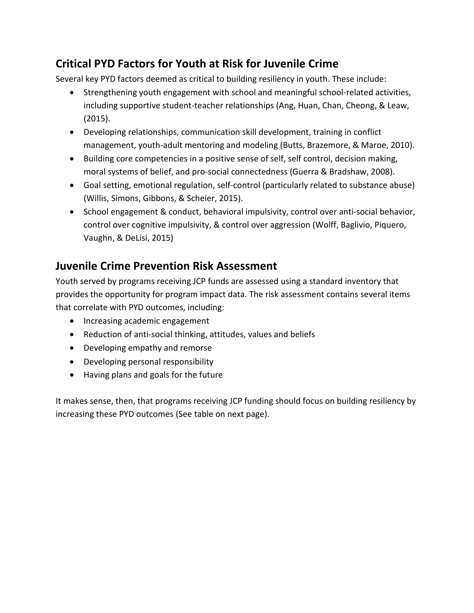# **Critical PYD Factors for Youth at Risk for Juvenile Crime**

Several key PYD factors deemed as critical to building resiliency in youth. These include:

- Strengthening youth engagement with school and meaningful school-related activities, including supportive student-teacher relationships (Ang, Huan, Chan, Cheong, & Leaw, (2015).
- Developing relationships, communication skill development, training in conflict management, youth-adult mentoring and modeling (Butts, Brazemore, & Maroe, 2010).
- Building core competencies in a positive sense of self, self control, decision making, moral systems of belief, and pro-social connectedness (Guerra & Bradshaw, 2008).
- Goal setting, emotional regulation, self-control (particularly related to substance abuse) (Willis, Simons, Gibbons, & Scheier, 2015).
- School engagement & conduct, behavioral impulsivity, control over anti-social behavior, control over cognitive impulsivity, & control over aggression (Wolff, Baglivio, Piquero, Vaughn, & DeLisi, 2015)

## **Juvenile Crime Prevention Risk Assessment**

Youth served by programs receiving JCP funds are assessed using a standard inventory that provides the opportunity for program impact data. The risk assessment contains several items that correlate with PYD outcomes, including:

- Increasing academic engagement
- Reduction of anti-social thinking, attitudes, values and beliefs
- Developing empathy and remorse
- Developing personal responsibility
- Having plans and goals for the future

It makes sense, then, that programs receiving JCP funding should focus on building resiliency by increasing these PYD outcomes (See table on next page).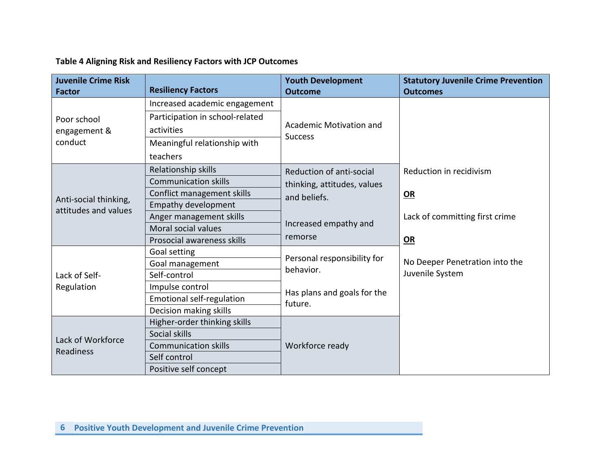| Table 4 Aligning Risk and Resiliency Factors with JCP Outcomes |  |
|----------------------------------------------------------------|--|
|----------------------------------------------------------------|--|

| <b>Juvenile Crime Risk</b>                    |                                  | <b>Youth Development</b>    | <b>Statutory Juvenile Crime Prevention</b> |
|-----------------------------------------------|----------------------------------|-----------------------------|--------------------------------------------|
| <b>Factor</b>                                 | <b>Resiliency Factors</b>        | <b>Outcome</b>              | <b>Outcomes</b>                            |
| Poor school<br>engagement &<br>conduct        | Increased academic engagement    |                             |                                            |
|                                               | Participation in school-related  |                             |                                            |
|                                               | activities                       | Academic Motivation and     |                                            |
|                                               | Meaningful relationship with     | <b>Success</b>              |                                            |
|                                               | teachers                         |                             |                                            |
|                                               | Relationship skills              | Reduction of anti-social    | Reduction in recidivism                    |
| Anti-social thinking,<br>attitudes and values | <b>Communication skills</b>      | thinking, attitudes, values |                                            |
|                                               | Conflict management skills       | and beliefs.                | OR                                         |
|                                               | <b>Empathy development</b>       |                             |                                            |
|                                               | Anger management skills          |                             | Lack of committing first crime             |
|                                               | Moral social values              | Increased empathy and       |                                            |
|                                               | Prosocial awareness skills       | remorse                     | <b>OR</b>                                  |
|                                               | Goal setting                     |                             | No Deeper Penetration into the             |
|                                               | Goal management                  | Personal responsibility for |                                            |
| Lack of Self-                                 | Self-control                     | behavior.                   | Juvenile System                            |
| Regulation                                    | Impulse control                  | Has plans and goals for the |                                            |
|                                               | <b>Emotional self-regulation</b> | future.                     |                                            |
|                                               | Decision making skills           |                             |                                            |
| Lack of Workforce<br>Readiness                | Higher-order thinking skills     |                             |                                            |
|                                               | Social skills                    |                             |                                            |
|                                               | <b>Communication skills</b>      | Workforce ready             |                                            |
|                                               | Self control                     |                             |                                            |
|                                               | Positive self concept            |                             |                                            |